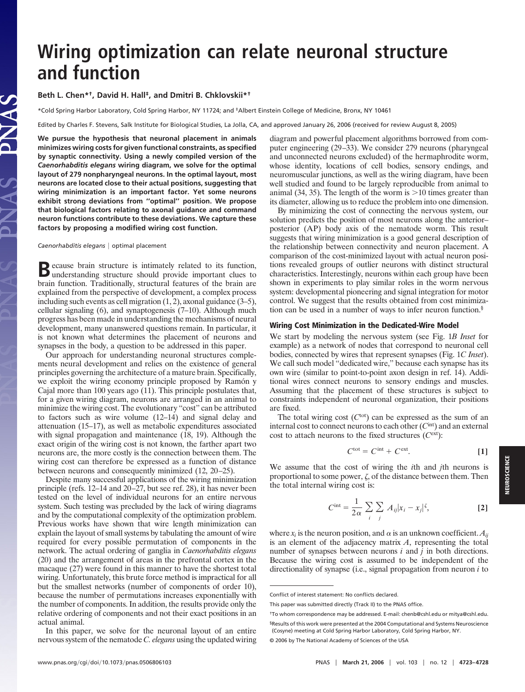# **Wiring optimization can relate neuronal structure and function**

## **Beth L. Chen\*†, David H. Hall‡, and Dmitri B. Chklovskii\*†**

\*Cold Spring Harbor Laboratory, Cold Spring Harbor, NY 11724; and ‡Albert Einstein College of Medicine, Bronx, NY 10461

Edited by Charles F. Stevens, Salk Institute for Biological Studies, La Jolla, CA, and approved January 26, 2006 (received for review August 8, 2005)

**We pursue the hypothesis that neuronal placement in animals minimizes wiring costs for given functional constraints, as specified by synaptic connectivity. Using a newly compiled version of the** *Caenorhabditis elegans* **wiring diagram, we solve for the optimal layout of 279 nonpharyngeal neurons. In the optimal layout, most neurons are located close to their actual positions, suggesting that wiring minimization is an important factor. Yet some neurons exhibit strong deviations from ''optimal'' position. We propose that biological factors relating to axonal guidance and command neuron functions contribute to these deviations. We capture these factors by proposing a modified wiring cost function.**

*Caenorhabditis elegans* | optimal placement

**B**ecause brain structure is intimately related to its function, understanding structure should provide important clues to brain function. Traditionally, structural features of the brain are explained from the perspective of development, a complex process including such events as cell migration (1, 2), axonal guidance (3–5), cellular signaling  $(6)$ , and synaptogenesis  $(7-10)$ . Although much progress has been made in understanding the mechanisms of neural development, many unanswered questions remain. In particular, it is not known what determines the placement of neurons and synapses in the body, a question to be addressed in this paper.

Our approach for understanding neuronal structures complements neural development and relies on the existence of general principles governing the architecture of a mature brain. Specifically, we exploit the wiring economy principle proposed by Ramón y Cajal more than 100 years ago (11). This principle postulates that, for a given wiring diagram, neurons are arranged in an animal to minimize the wiring cost. The evolutionary "cost" can be attributed to factors such as wire volume (12–14) and signal delay and attenuation (15–17), as well as metabolic expenditures associated with signal propagation and maintenance (18, 19). Although the exact origin of the wiring cost is not known, the farther apart two neurons are, the more costly is the connection between them. The wiring cost can therefore be expressed as a function of distance between neurons and consequently minimized (12, 20–25).

Despite many successful applications of the wiring minimization principle (refs. 12–14 and 20–27, but see ref. 28), it has never been tested on the level of individual neurons for an entire nervous system. Such testing was precluded by the lack of wiring diagrams and by the computational complexity of the optimization problem. Previous works have shown that wire length minimization can explain the layout of small systems by tabulating the amount of wire required for every possible permutation of components in the network. The actual ordering of ganglia in *Caenorhabditis elegans* (20) and the arrangement of areas in the prefrontal cortex in the macaque (27) were found in this manner to have the shortest total wiring. Unfortunately, this brute force method is impractical for all but the smallest networks (number of components of order 10), because the number of permutations increases exponentially with the number of components. In addition, the results provide only the relative ordering of components and not their exact positions in an actual animal.

In this paper, we solve for the neuronal layout of an entire nervous system of the nematode *C. elegans* using the updated wiring diagram and powerful placement algorithms borrowed from computer engineering (29–33). We consider 279 neurons (pharyngeal and unconnected neurons excluded) of the hermaphrodite worm, whose identity, locations of cell bodies, sensory endings, and neuromuscular junctions, as well as the wiring diagram, have been well studied and found to be largely reproducible from animal to animal (34, 35). The length of the worm is  $>10$  times greater than its diameter, allowing us to reduce the problem into one dimension.

By minimizing the cost of connecting the nervous system, our solution predicts the position of most neurons along the anterior– posterior (AP) body axis of the nematode worm. This result suggests that wiring minimization is a good general description of the relationship between connectivity and neuron placement. A comparison of the cost-minimized layout with actual neuron positions revealed groups of outlier neurons with distinct structural characteristics. Interestingly, neurons within each group have been shown in experiments to play similar roles in the worm nervous system: developmental pioneering and signal integration for motor control. We suggest that the results obtained from cost minimization can be used in a number of ways to infer neuron function.§

#### **Wiring Cost Minimization in the Dedicated-Wire Model**

We start by modeling the nervous system (see Fig. 1*B Inset* for example) as a network of nodes that correspond to neuronal cell bodies, connected by wires that represent synapses (Fig. 1*C Inset*). We call such model "dedicated wire," because each synapse has its own wire (similar to point-to-point axon design in ref. 14). Additional wires connect neurons to sensory endings and muscles. Assuming that the placement of these structures is subject to constraints independent of neuronal organization, their positions are fixed.

The total wiring cost  $(C<sup>tot</sup>)$  can be expressed as the sum of an internal cost to connect neurons to each other (*C*int) and an external cost to attach neurons to the fixed structures (*C*ext):

$$
C^{\text{tot}} = C^{\text{int}} + C^{\text{ext}}.
$$
 [1]

We assume that the cost of wiring the *i*th and *j*th neurons is proportional to some power,  $\zeta$ , of the distance between them. Then the total internal wiring cost is:

$$
C^{\text{int}} = \frac{1}{2\alpha} \sum_{i} \sum_{j} A_{ij} |x_i - x_j|^{\zeta}, \tag{2}
$$

where  $x_i$  is the neuron position, and  $\alpha$  is an unknown coefficient.  $A_{ij}$ is an element of the adjacency matrix *A*, representing the total number of synapses between neurons *i* and *j* in both directions. Because the wiring cost is assumed to be independent of the directionality of synapse (i.e., signal propagation from neuron *i* to

Conflict of interest statement: No conflicts declared.

This paper was submitted directly (Track II) to the PNAS office.

<sup>†</sup>To whom correspondence may be addressed. E-mail: chenb@cshl.edu or mitya@cshl.edu. §Results of this work were presented at the 2004 Computational and Systems Neuroscience (Cosyne) meeting at Cold Spring Harbor Laboratory, Cold Spring Harbor, NY.

<sup>© 2006</sup> by The National Academy of Sciences of the USA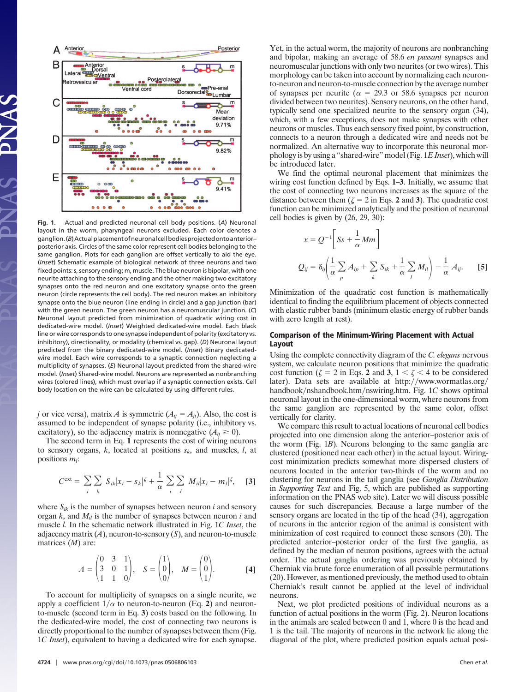

**Fig. 1.** Actual and predicted neuronal cell body positions. (*A*) Neuronal layout in the worm, pharyngeal neurons excluded. Each color denotes a ganglion.(*B*)Actualplacementofneuronalcellbodiesprojectedontoanterior– posterior axis. Circles of the same color represent cell bodies belonging to the same ganglion. Plots for each ganglion are offset vertically to aid the eye. (*Inset*) Schematic example of biological network of three neurons and two fixed points: s, sensory ending; m, muscle. The blue neuron is bipolar, with one neurite attaching to the sensory ending and the other making two excitatory synapses onto the red neuron and one excitatory synapse onto the green neuron (circle represents the cell body). The red neuron makes an inhibitory synapse onto the blue neuron (line ending in circle) and a gap junction (bar) with the green neuron. The green neuron has a neuromuscular junction. (*C*) Neuronal layout predicted from minimization of quadratic wiring cost in dedicated-wire model. (*Inset*) Weighted dedicated-wire model. Each black line or wire corresponds to one synapse independent of polarity (excitatory vs. inhibitory), directionality, or modality (chemical vs. gap). (*D*) Neuronal layout predicted from the binary dedicated-wire model. (*Inset*) Binary dedicatedwire model. Each wire corresponds to a synaptic connection neglecting a multiplicity of synapses. (*E*) Neuronal layout predicted from the shared-wire model. (*Inset*) Shared-wire model. Neurons are represented as nonbranching wires (colored lines), which must overlap if a synaptic connection exists. Cell body location on the wire can be calculated by using different rules.

*j* or vice versa), matrix *A* is symmetric  $(A_{ij} = A_{ji})$ . Also, the cost is assumed to be independent of synapse polarity (i.e., inhibitory vs. excitatory), so the adjacency matrix is nonnegative  $(A_{ij} \geq 0)$ .

The second term in Eq. **1** represents the cost of wiring neurons to sensory organs, *k*, located at positions *sk*, and muscles, *l*, at positions  $m_l$ :

$$
C^{\text{ext}} = \sum_{i} \sum_{k} S_{ik} |x_i - s_k|^{\zeta} + \frac{1}{\alpha} \sum_{i} \sum_{l} M_{il} |x_i - m_l|^{\zeta}, \quad [3]
$$

where  $S_{ik}$  is the number of synapses between neuron *i* and sensory organ *k*, and *Mil* is the number of synapses between neuron *i* and muscle *l.* In the schematic network illustrated in Fig. 1*C Inset*, the adjacency matrix (*A*), neuron-to-sensory (*S*), and neuron-to-muscle matrices (*M*) are:

$$
A = \begin{pmatrix} 0 & 3 & 1 \\ 3 & 0 & 1 \\ 1 & 1 & 0 \end{pmatrix}, \quad S = \begin{pmatrix} 1 \\ 0 \\ 0 \end{pmatrix}, \quad M = \begin{pmatrix} 0 \\ 0 \\ 1 \end{pmatrix}.
$$
 [4]

To account for multiplicity of synapses on a single neurite, we apply a coefficient  $1/\alpha$  to neuron-to-neuron (Eq. 2) and neuronto-muscle (second term in Eq. **3**) costs based on the following. In the dedicated-wire model, the cost of connecting two neurons is directly proportional to the number of synapses between them (Fig. 1*C Inset*), equivalent to having a dedicated wire for each synapse. Yet, in the actual worm, the majority of neurons are nonbranching and bipolar, making an average of 58.6 *en passant* synapses and neuromuscular junctions with only two neurites (or two wires). This morphology can be taken into account by normalizing each neuronto-neuron and neuron-to-muscle connection by the average number of synapses per neurite ( $\alpha = 29.3$  or 58.6 synapses per neuron divided between two neurites). Sensory neurons, on the other hand, typically send one specialized neurite to the sensory organ (34), which, with a few exceptions, does not make synapses with other neurons or muscles. Thus each sensory fixed point, by construction, connects to a neuron through a dedicated wire and needs not be normalized. An alternative way to incorporate this neuronal morphology is by using a ''shared-wire'' model (Fig. 1*E Inset*), which will be introduced later.

We find the optimal neuronal placement that minimizes the wiring cost function defined by Eqs. **1–3**. Initially, we assume that the cost of connecting two neurons increases as the square of the distance between them  $(\zeta = 2 \text{ in Eqs. 2 and 3})$ . The quadratic cost function can be minimized analytically and the position of neuronal cell bodies is given by (26, 29, 30):

$$
x = Q^{-1} \left[ Ss + \frac{1}{\alpha} Mm \right]
$$
  

$$
Q_{ij} = \delta_{ij} \left( \frac{1}{\alpha} \sum_{p} A_{ip} + \sum_{k} S_{ik} + \frac{1}{\alpha} \sum_{l} M_{il} \right) - \frac{1}{\alpha} A_{ij}.
$$
 [5]

Minimization of the quadratic cost function is mathematically identical to finding the equilibrium placement of objects connected with elastic rubber bands (minimum elastic energy of rubber bands with zero length at rest).

## **Comparison of the Minimum-Wiring Placement with Actual Layout**

Using the complete connectivity diagram of the *C. elegans* nervous system, we calculate neuron positions that minimize the quadratic cost function ( $\zeta = 2$  in Eqs. 2 and 3,  $1 < \zeta < 4$  to be considered later). Data sets are available at http://www.wormatlas.org/ handbook/nshandbook.htm/nswiring.htm. Fig. 1*C* shows optimal neuronal layout in the one-dimensional worm, where neurons from the same ganglion are represented by the same color, offset vertically for clarity.

We compare this result to actual locations of neuronal cell bodies projected into one dimension along the anterior–posterior axis of the worm (Fig. 1*B*). Neurons belonging to the same ganglia are clustered (positioned near each other) in the actual layout. Wiringcost minimization predicts somewhat more dispersed clusters of neurons located in the anterior two-thirds of the worm and no clustering for neurons in the tail ganglia (see *Ganglia Distribution* in *Supporting Text* and Fig. 5, which are published as supporting information on the PNAS web site). Later we will discuss possible causes for such discrepancies. Because a large number of the sensory organs are located in the tip of the head (34), aggregation of neurons in the anterior region of the animal is consistent with minimization of cost required to connect these sensors (20). The predicted anterior–posterior order of the first five ganglia, as defined by the median of neuron positions, agrees with the actual order. The actual ganglia ordering was previously obtained by Cherniak via brute force enumeration of all possible permutations (20). However, as mentioned previously, the method used to obtain Cherniak's result cannot be applied at the level of individual neurons.

Next, we plot predicted positions of individual neurons as a function of actual positions in the worm (Fig. 2). Neuron locations in the animals are scaled between 0 and 1, where 0 is the head and 1 is the tail. The majority of neurons in the network lie along the diagonal of the plot, where predicted position equals actual posi-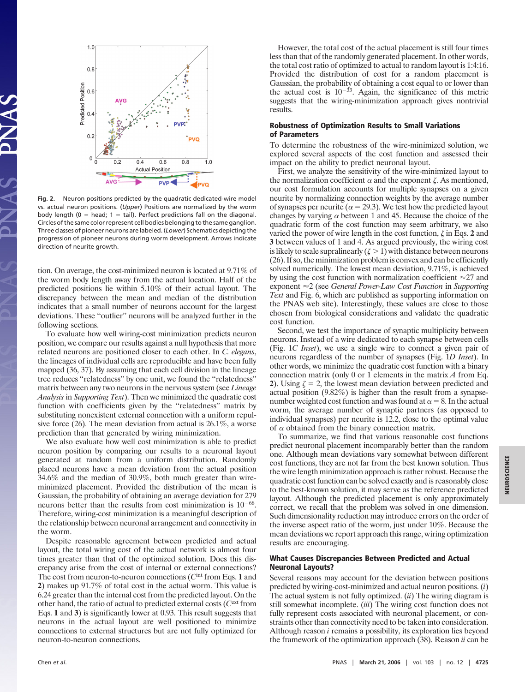

**Fig. 2.** Neuron positions predicted by the quadratic dedicated-wire model vs. actual neuron positions. (*Upper*) Positions are normalized by the worm body length ( $0 =$  head;  $1 =$  tail). Perfect predictions fall on the diagonal. Circles of the same color represent cell bodies belonging to the same ganglion. Three classes of pioneer neurons are labeled. (*Lower*) Schematics depicting the progression of pioneer neurons during worm development. Arrows indicate direction of neurite growth.

tion. On average, the cost-minimized neuron is located at 9.71% of the worm body length away from the actual location. Half of the predicted positions lie within 5.10% of their actual layout. The discrepancy between the mean and median of the distribution indicates that a small number of neurons account for the largest deviations. These ''outlier'' neurons will be analyzed further in the following sections.

To evaluate how well wiring-cost minimization predicts neuron position, we compare our results against a null hypothesis that more related neurons are positioned closer to each other. In *C. elegans*, the lineages of individual cells are reproducible and have been fully mapped (36, 37). By assuming that each cell division in the lineage tree reduces ''relatedness'' by one unit, we found the ''relatedness'' matrix between any two neurons in the nervous system (see *Lineage Analysis* in *Supporting Text*). Then we minimized the quadratic cost function with coefficients given by the ''relatedness'' matrix by substituting nonexistent external connection with a uniform repulsive force (26). The mean deviation from actual is 26.1%, a worse prediction than that generated by wiring minimization.

We also evaluate how well cost minimization is able to predict neuron position by comparing our results to a neuronal layout generated at random from a uniform distribution. Randomly placed neurons have a mean deviation from the actual position 34.6% and the median of 30.9%, both much greater than wireminimized placement. Provided the distribution of the mean is Gaussian, the probability of obtaining an average deviation for 279 neurons better than the results from cost minimization is  $10^{-68}$ . Therefore, wiring-cost minimization is a meaningful description of the relationship between neuronal arrangement and connectivity in the worm.

Despite reasonable agreement between predicted and actual layout, the total wiring cost of the actual network is almost four times greater than that of the optimized solution. Does this discrepancy arise from the cost of internal or external connections? The cost from neuron-to-neuron connections (*C*int from Eqs. **1** and **2**) makes up 91.7% of total cost in the actual worm. This value is 6.24 greater than the internal cost from the predicted layout. On the other hand, the ratio of actual to predicted external costs (*C*ext from Eqs. **1** and **3**) is significantly lower at 0.93. This result suggests that neurons in the actual layout are well positioned to minimize connections to external structures but are not fully optimized for neuron-to-neuron connections.

However, the total cost of the actual placement is still four times less than that of the randomly generated placement. In other words, the total cost ratio of optimized to actual to random layout is 1:4:16. Provided the distribution of cost for a random placement is Gaussian, the probability of obtaining a cost equal to or lower than the actual cost is  $10^{-33}$ . Again, the significance of this metric suggests that the wiring-minimization approach gives nontrivial results.

# **Robustness of Optimization Results to Small Variations of Parameters**

To determine the robustness of the wire-minimized solution, we explored several aspects of the cost function and assessed their impact on the ability to predict neuronal layout.

First, we analyze the sensitivity of the wire-minimized layout to the normalization coefficient  $\alpha$  and the exponent  $\zeta$ . As mentioned, our cost formulation accounts for multiple synapses on a given neurite by normalizing connection weights by the average number of synapses per neurite ( $\alpha = 29.3$ ). We test how the predicted layout changes by varying  $\alpha$  between 1 and 45. Because the choice of the quadratic form of the cost function may seem arbitrary, we also varied the power of wire length in the cost function,  $\zeta$  in Eqs. 2 and **3** between values of 1 and 4. As argued previously, the wiring cost is likely to scale supralinearly  $(\zeta > 1)$  with distance between neurons (26). If so, the minimization problem is convex and can be efficiently solved numerically. The lowest mean deviation, 9.71%, is achieved by using the cost function with normalization coefficient  $\approx$  27 and exponent ≈2 (see *General Power-Law Cost Function* in *Supporting Text* and Fig. 6, which are published as supporting information on the PNAS web site). Interestingly, these values are close to those chosen from biological considerations and validate the quadratic cost function.

Second, we test the importance of synaptic multiplicity between neurons. Instead of a wire dedicated to each synapse between cells (Fig. 1*C Inset*), we use a single wire to connect a given pair of neurons regardless of the number of synapses (Fig. 1*D Inset*). In other words, we minimize the quadratic cost function with a binary connection matrix (only 0 or 1 elements in the matrix *A* from Eq. 2). Using  $\zeta = 2$ , the lowest mean deviation between predicted and actual position (9.82%) is higher than the result from a synapsenumber weighted cost function and was found at  $\alpha = 8$ . In the actual worm, the average number of synaptic partners (as opposed to individual synapses) per neurite is 12.2, close to the optimal value of  $\alpha$  obtained from the binary connection matrix.

To summarize, we find that various reasonable cost functions predict neuronal placement incomparably better than the random one. Although mean deviations vary somewhat between different cost functions, they are not far from the best known solution. Thus the wire length minimization approach is rather robust. Because the quadratic cost function can be solved exactly and is reasonably close to the best-known solution, it may serve as the reference predicted layout. Although the predicted placement is only approximately correct, we recall that the problem was solved in one dimension. Such dimensionality reduction may introduce errors on the order of the inverse aspect ratio of the worm, just under 10%. Because the mean deviations we report approach this range, wiring optimization results are encouraging.

## **What Causes Discrepancies Between Predicted and Actual Neuronal Layouts?**

Several reasons may account for the deviation between positions predicted by wiring-cost-minimized and actual neuron positions. (*i*) The actual system is not fully optimized. (*ii*) The wiring diagram is still somewhat incomplete. (*iii*) The wiring cost function does not fully represent costs associated with neuronal placement, or constraints other than connectivity need to be taken into consideration. Although reason *i* remains a possibility, its exploration lies beyond the framework of the optimization approach (38). Reason *ii* can be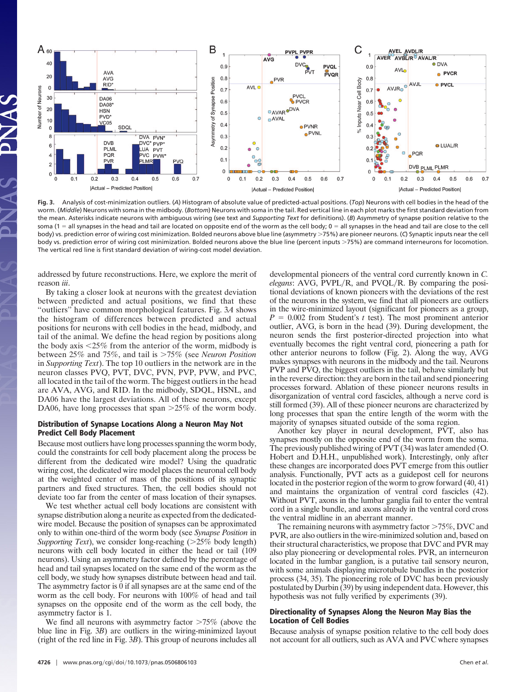

**Fig. 3.** Analysis of cost-minimization outliers. (*A*) Histogram of absolute value of predicted-actual positions. (*Top*) Neurons with cell bodies in the head of the worm. (*Middle*) Neurons with soma in the midbody. (*Bottom*) Neurons with soma in the tail. Red vertical line in each plot marks the first standard deviation from the mean. Asterisks indicate neurons with ambiguous wiring (see text and *Supporting Text* for definitions). (*B*) Asymmetry of synapse position relative to the soma (1 = all synapses in the head and tail are located on opposite end of the worm as the cell body; 0 = all synapses in the head and tail are close to the cell body) vs. prediction error of wiring cost minimization. Bolded neurons above blue line (asymmetry 75%) are pioneer neurons. (*C*) Synaptic inputs near the cell body vs. prediction error of wiring cost minimization. Bolded neurons above the blue line (percent inputs 75%) are command interneurons for locomotion. The vertical red line is first standard deviation of wiring-cost model deviation.

addressed by future reconstructions. Here, we explore the merit of reason *iii*.

By taking a closer look at neurons with the greatest deviation between predicted and actual positions, we find that these ''outliers'' have common morphological features. Fig. 3*A* shows the histogram of differences between predicted and actual positions for neurons with cell bodies in the head, midbody, and tail of the animal. We define the head region by positions along the body axis  $\leq 25\%$  from the anterior of the worm, midbody is between 25% and 75%, and tail is 75% (see *Neuron Position* in *Supporting Text*). The top 10 outliers in the network are in the neuron classes PVQ, PVT, DVC, PVN, PVP, PVW, and PVC, all located in the tail of the worm. The biggest outliers in the head are AVA, AVG, and RID. In the midbody, SDQL, HSNL, and DA06 have the largest deviations. All of these neurons, except DA06, have long processes that span  $>25\%$  of the worm body.

## **Distribution of Synapse Locations Along a Neuron May Not Predict Cell Body Placement**

Because most outliers have long processes spanning the worm body, could the constraints for cell body placement along the process be different from the dedicated wire model? Using the quadratic wiring cost, the dedicated wire model places the neuronal cell body at the weighted center of mass of the positions of its synaptic partners and fixed structures. Then, the cell bodies should not deviate too far from the center of mass location of their synapses.

We test whether actual cell body locations are consistent with synapse distribution along a neurite as expected from the dedicatedwire model. Because the position of synapses can be approximated only to within one-third of the worm body (see *Synapse Position* in *Supporting Text*), we consider long-reaching ( $>25\%$  body length) neurons with cell body located in either the head or tail (109 neurons). Using an asymmetry factor defined by the percentage of head and tail synapses located on the same end of the worm as the cell body, we study how synapses distribute between head and tail. The asymmetry factor is 0 if all synapses are at the same end of the worm as the cell body. For neurons with 100% of head and tail synapses on the opposite end of the worm as the cell body, the asymmetry factor is 1.

We find all neurons with asymmetry factor  $>75\%$  (above the blue line in Fig. 3*B*) are outliers in the wiring-minimized layout (right of the red line in Fig. 3*B*). This group of neurons includes all developmental pioneers of the ventral cord currently known in *C. elegans*: AVG, PVPL/R, and PVQL/R. By comparing the positional deviations of known pioneers with the deviations of the rest of the neurons in the system, we find that all pioneers are outliers in the wire-minimized layout (significant for pioneers as a group,  $P = 0.002$  from Student's *t* test). The most prominent anterior outlier, AVG, is born in the head (39). During development, the neuron sends the first posterior-directed projection into what eventually becomes the right ventral cord, pioneering a path for other anterior neurons to follow (Fig. 2). Along the way, AVG makes synapses with neurons in the midbody and the tail. Neurons PVP and PVQ, the biggest outliers in the tail, behave similarly but in the reverse direction: they are born in the tail and send pioneering processes forward. Ablation of these pioneer neurons results in disorganization of ventral cord fascicles, although a nerve cord is still formed (39). All of these pioneer neurons are characterized by long processes that span the entire length of the worm with the majority of synapses situated outside of the soma region.

Another key player in neural development, PVT, also has synapses mostly on the opposite end of the worm from the soma. The previously published wiring of PVT (34) was later amended (O. Hobert and D.H.H., unpublished work). Interestingly, only after these changes are incorporated does PVT emerge from this outlier analysis. Functionally, PVT acts as a guidepost cell for neurons located in the posterior region of the worm to grow forward (40, 41) and maintains the organization of ventral cord fascicles (42). Without PVT, axons in the lumbar ganglia fail to enter the ventral cord in a single bundle, and axons already in the ventral cord cross the ventral midline in an aberrant manner.

The remaining neurons with asymmetry factor  $>75\%$ , DVC and PVR, are also outliers in the wire-minimized solution and, based on their structural characteristics, we propose that DVC and PVR may also play pioneering or developmental roles. PVR, an interneuron located in the lumbar ganglion, is a putative tail sensory neuron, with some animals displaying microtubule bundles in the posterior process (34, 35). The pioneering role of DVC has been previously postulated by Durbin (39) by using independent data. However, this hypothesis was not fully verified by experiments (39).

# **Directionality of Synapses Along the Neuron May Bias the Location of Cell Bodies**

Because analysis of synapse position relative to the cell body does not account for all outliers, such as AVA and PVC where synapses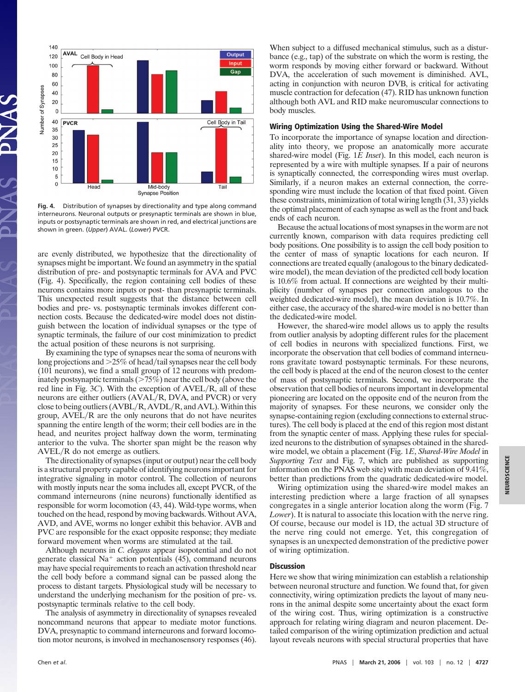

**Fig. 4.** Distribution of synapses by directionality and type along command interneurons. Neuronal outputs or presynaptic terminals are shown in blue, inputs or postsynaptic terminals are shown in red, and electrical junctions are shown in green. (*Upper*) AVAL. (*Lower*) PVCR.

are evenly distributed, we hypothesize that the directionality of synapses might be important. We found an asymmetry in the spatial distribution of pre- and postsynaptic terminals for AVA and PVC (Fig. 4). Specifically, the region containing cell bodies of these neurons contains more inputs or post- than presynaptic terminals. This unexpected result suggests that the distance between cell bodies and pre- vs. postsynaptic terminals invokes different connection costs. Because the dedicated-wire model does not distinguish between the location of individual synapses or the type of synaptic terminals, the failure of our cost minimization to predict the actual position of these neurons is not surprising.

By examining the type of synapses near the soma of neurons with long projections and  $>25\%$  of head/tail synapses near the cell body (101 neurons), we find a small group of 12 neurons with predominately postsynaptic terminals  $(>\!\!75\%)$  near the cell body (above the red line in Fig.  $3C$ ). With the exception of  $AVEL/R$ , all of these neurons are either outliers (AVAL/R, DVA, and PVCR) or very close to being outliers  $(AVBL/R, AVDL/R,$  and  $AVL$ ). Within this group, AVEL/R are the only neurons that do not have neurites spanning the entire length of the worm; their cell bodies are in the head, and neurites project halfway down the worm, terminating anterior to the vulva. The shorter span might be the reason why  $AVEL/R$  do not emerge as outliers.

The directionality of synapses (input or output) near the cell body is a structural property capable of identifying neurons important for integrative signaling in motor control. The collection of neurons with mostly inputs near the soma includes all, except PVCR, of the command interneurons (nine neurons) functionally identified as responsible for worm locomotion (43, 44). Wild-type worms, when touched on the head, respond by moving backwards. Without AVA, AVD, and AVE, worms no longer exhibit this behavior. AVB and PVC are responsible for the exact opposite response; they mediate forward movement when worms are stimulated at the tail.

Although neurons in *C. elegans* appear isopotential and do not generate classical  $Na<sup>+</sup>$  action potentials (45), command neurons may have special requirements to reach an activation threshold near the cell body before a command signal can be passed along the process to distant targets. Physiological study will be necessary to understand the underlying mechanism for the position of pre- vs. postsynaptic terminals relative to the cell body.

The analysis of asymmetry in directionality of synapses revealed noncommand neurons that appear to mediate motor functions. DVA, presynaptic to command interneurons and forward locomotion motor neurons, is involved in mechanosensory responses (46). When subject to a diffused mechanical stimulus, such as a disturbance (e.g., tap) of the substrate on which the worm is resting, the worm responds by moving either forward or backward. Without DVA, the acceleration of such movement is diminished. AVL, acting in conjunction with neuron DVB, is critical for activating muscle contraction for defecation (47). RID has unknown function although both AVL and RID make neuromuscular connections to body muscles.

#### **Wiring Optimization Using the Shared-Wire Model**

To incorporate the importance of synapse location and directionality into theory, we propose an anatomically more accurate shared-wire model (Fig. 1*E Inset*). In this model, each neuron is represented by a wire with multiple synapses. If a pair of neurons is synaptically connected, the corresponding wires must overlap. Similarly, if a neuron makes an external connection, the corresponding wire must include the location of that fixed point. Given these constraints, minimization of total wiring length (31, 33) yields the optimal placement of each synapse as well as the front and back ends of each neuron.

Because the actual locations of most synapses in the worm are not currently known, comparison with data requires predicting cell body positions. One possibility is to assign the cell body position to the center of mass of synaptic locations for each neuron. If connections are treated equally (analogous to the binary dedicatedwire model), the mean deviation of the predicted cell body location is 10.6% from actual. If connections are weighted by their multiplicity (number of synapses per connection analogous to the weighted dedicated-wire model), the mean deviation is 10.7%. In either case, the accuracy of the shared-wire model is no better than the dedicated-wire model.

However, the shared-wire model allows us to apply the results from outlier analysis by adopting different rules for the placement of cell bodies in neurons with specialized functions. First, we incorporate the observation that cell bodies of command interneurons gravitate toward postsynaptic terminals. For these neurons, the cell body is placed at the end of the neuron closest to the center of mass of postsynaptic terminals. Second, we incorporate the observation that cell bodies of neurons important in developmental pioneering are located on the opposite end of the neuron from the majority of synapses. For these neurons, we consider only the synapse-containing region (excluding connections to external structures). The cell body is placed at the end of this region most distant from the synaptic center of mass. Applying these rules for specialized neurons to the distribution of synapses obtained in the sharedwire model, we obtain a placement (Fig. 1*E*, *Shared-Wire Model* in *Supporting Text* and Fig. 7, which are published as supporting information on the PNAS web site) with mean deviation of 9.41%, better than predictions from the quadratic dedicated-wire model.

Wiring optimization using the shared-wire model makes an interesting prediction where a large fraction of all synapses congregates in a single anterior location along the worm (Fig. 7 *Lower*). It is natural to associate this location with the nerve ring. Of course, because our model is 1D, the actual 3D structure of the nerve ring could not emerge. Yet, this congregation of synapses is an unexpected demonstration of the predictive power of wiring optimization.

#### **Discussion**

Here we show that wiring minimization can establish a relationship between neuronal structure and function. We found that, for given connectivity, wiring optimization predicts the layout of many neurons in the animal despite some uncertainty about the exact form of the wiring cost. Thus, wiring optimization is a constructive approach for relating wiring diagram and neuron placement. Detailed comparison of the wiring optimization prediction and actual layout reveals neurons with special structural properties that have